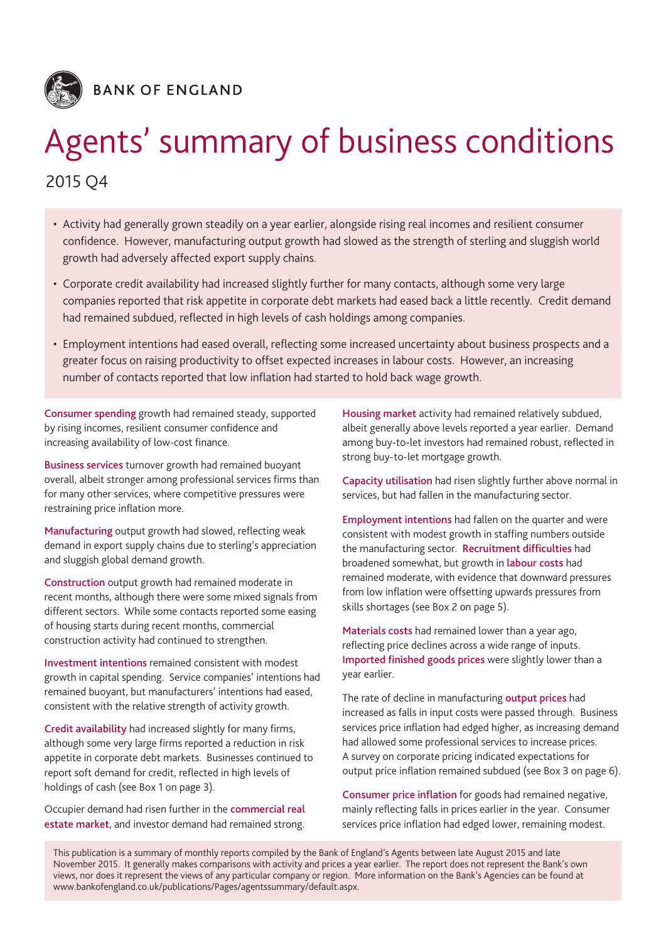

Agents' summary of business conditions

# 2015 Q4

- Activity had generally grown steadily on a year earlier, alongside rising real incomes and resilient consumer confidence. However, manufacturing output growth had slowed as the strength of sterling and sluggish world growth had adversely affected export supply chains.
- Corporate credit availability had increased slightly further for many contacts, although some very large companies reported that risk appetite in corporate debt markets had eased back a little recently. Credit demand had remained subdued, reflected in high levels of cash holdings among companies.
- Employment intentions had eased overall, reflecting some increased uncertainty about business prospects and a greater focus on raising productivity to offset expected increases in labour costs. However, an increasing number of contacts reported that low inflation had started to hold back wage growth.

**Consumer spending** growth had remained steady, supported by rising incomes, resilient consumer confidence and increasing availability of low-cost finance.

**Business services** turnover growth had remained buoyant overall, albeit stronger among professional services firms than for many other services, where competitive pressures were restraining price inflation more.

**Manufacturing** output growth had slowed, reflecting weak demand in export supply chains due to sterling's appreciation and sluggish global demand growth.

**Construction** output growth had remained moderate in recent months, although there were some mixed signals from different sectors. While some contacts reported some easing of housing starts during recent months, commercial construction activity had continued to strengthen.

**Investment intentions** remained consistent with modest growth in capital spending. Service companies' intentions had remained buoyant, but manufacturers' intentions had eased, consistent with the relative strength of activity growth.

**Credit availability** had increased slightly for many firms, although some very large firms reported a reduction in risk appetite in corporate debt markets. Businesses continued to report soft demand for credit, reflected in high levels of holdings of cash (see Box 1 on page 3).

Occupier demand had risen further in the **commercial real estate market**, and investor demand had remained strong.

**Housing market** activity had remained relatively subdued, albeit generally above levels reported a year earlier. Demand among buy-to-let investors had remained robust, reflected in strong buy-to-let mortgage growth.

**Capacity utilisation** had risen slightly further above normal in services, but had fallen in the manufacturing sector.

**Employment intentions** had fallen on the quarter and were consistent with modest growth in staffing numbers outside the manufacturing sector. **Recruitment difficulties** had broadened somewhat, but growth in **labour costs** had remained moderate, with evidence that downward pressures from low inflation were offsetting upwards pressures from skills shortages (see Box 2 on page 5).

**Materials costs** had remained lower than a year ago, reflecting price declines across a wide range of inputs. **Imported finished goods prices** were slightly lower than a year earlier.

The rate of decline in manufacturing **output prices** had increased as falls in input costs were passed through. Business services price inflation had edged higher, as increasing demand had allowed some professional services to increase prices. A survey on corporate pricing indicated expectations for output price inflation remained subdued (see Box 3 on page 6).

**Consumer price inflation** for goods had remained negative, mainly reflecting falls in prices earlier in the year. Consumer services price inflation had edged lower, remaining modest.

This publication is a summary of monthly reports compiled by the Bank of England's Agents between late August 2015 and late November 2015. It generally makes comparisons with activity and prices a year earlier. The report does not represent the Bank's own views, nor does it represent the views of any particular company or region. More information on the Bank's Agencies can be found at www.bankofengland.co.uk/publications/Pages/agentssummary/default.aspx.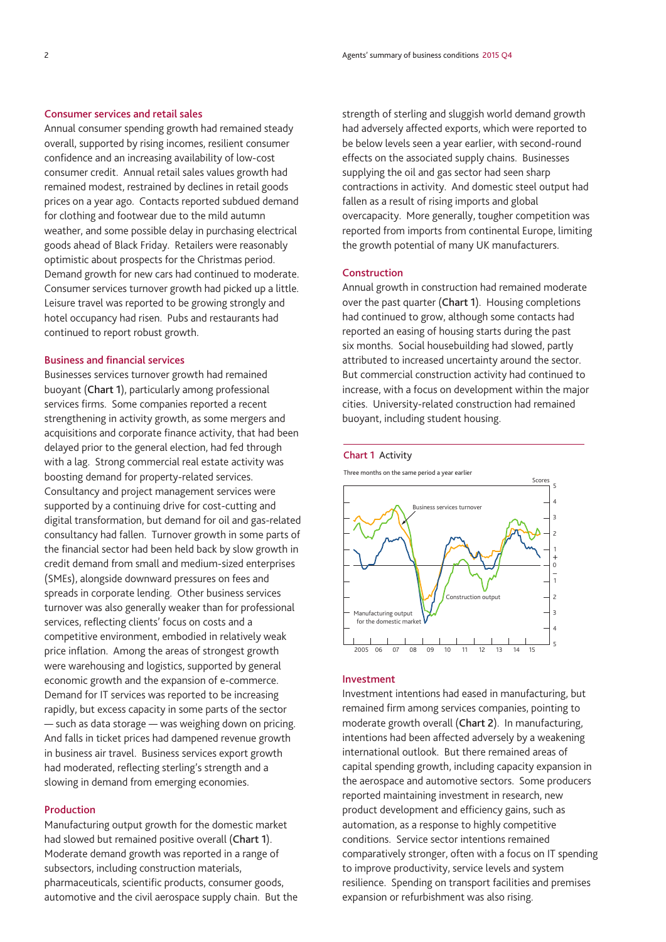### **Consumer services and retail sales**

Annual consumer spending growth had remained steady overall, supported by rising incomes, resilient consumer confidence and an increasing availability of low-cost consumer credit. Annual retail sales values growth had remained modest, restrained by declines in retail goods prices on a year ago. Contacts reported subdued demand for clothing and footwear due to the mild autumn weather, and some possible delay in purchasing electrical goods ahead of Black Friday. Retailers were reasonably optimistic about prospects for the Christmas period. Demand growth for new cars had continued to moderate. Consumer services turnover growth had picked up a little. Leisure travel was reported to be growing strongly and hotel occupancy had risen. Pubs and restaurants had continued to report robust growth.

#### **Business and financial services**

Businesses services turnover growth had remained buoyant (**Chart 1**), particularly among professional services firms. Some companies reported a recent strengthening in activity growth, as some mergers and acquisitions and corporate finance activity, that had been delayed prior to the general election, had fed through with a lag. Strong commercial real estate activity was boosting demand for property-related services. Consultancy and project management services were supported by a continuing drive for cost-cutting and digital transformation, but demand for oil and gas-related consultancy had fallen. Turnover growth in some parts of the financial sector had been held back by slow growth in credit demand from small and medium-sized enterprises (SMEs), alongside downward pressures on fees and spreads in corporate lending. Other business services turnover was also generally weaker than for professional services, reflecting clients' focus on costs and a competitive environment, embodied in relatively weak price inflation. Among the areas of strongest growth were warehousing and logistics, supported by general economic growth and the expansion of e-commerce. Demand for IT services was reported to be increasing rapidly, but excess capacity in some parts of the sector — such as data storage — was weighing down on pricing. And falls in ticket prices had dampened revenue growth in business air travel. Business services export growth had moderated, reflecting sterling's strength and a slowing in demand from emerging economies.

#### **Production**

Manufacturing output growth for the domestic market had slowed but remained positive overall (**Chart 1**). Moderate demand growth was reported in a range of subsectors, including construction materials, pharmaceuticals, scientific products, consumer goods, automotive and the civil aerospace supply chain. But the strength of sterling and sluggish world demand growth had adversely affected exports, which were reported to be below levels seen a year earlier, with second-round effects on the associated supply chains. Businesses supplying the oil and gas sector had seen sharp contractions in activity. And domestic steel output had fallen as a result of rising imports and global overcapacity. More generally, tougher competition was reported from imports from continental Europe, limiting the growth potential of many UK manufacturers.

#### **Construction**

Annual growth in construction had remained moderate over the past quarter (**Chart 1**). Housing completions had continued to grow, although some contacts had reported an easing of housing starts during the past six months. Social housebuilding had slowed, partly attributed to increased uncertainty around the sector. But commercial construction activity had continued to increase, with a focus on development within the major cities. University-related construction had remained buoyant, including student housing.

#### **Chart 1** Activity

Three months on the same period a year earlier



#### **Investment**

Investment intentions had eased in manufacturing, but remained firm among services companies, pointing to moderate growth overall (**Chart 2**). In manufacturing, intentions had been affected adversely by a weakening international outlook. But there remained areas of capital spending growth, including capacity expansion in the aerospace and automotive sectors. Some producers reported maintaining investment in research, new product development and efficiency gains, such as automation, as a response to highly competitive conditions. Service sector intentions remained comparatively stronger, often with a focus on IT spending to improve productivity, service levels and system resilience. Spending on transport facilities and premises expansion or refurbishment was also rising.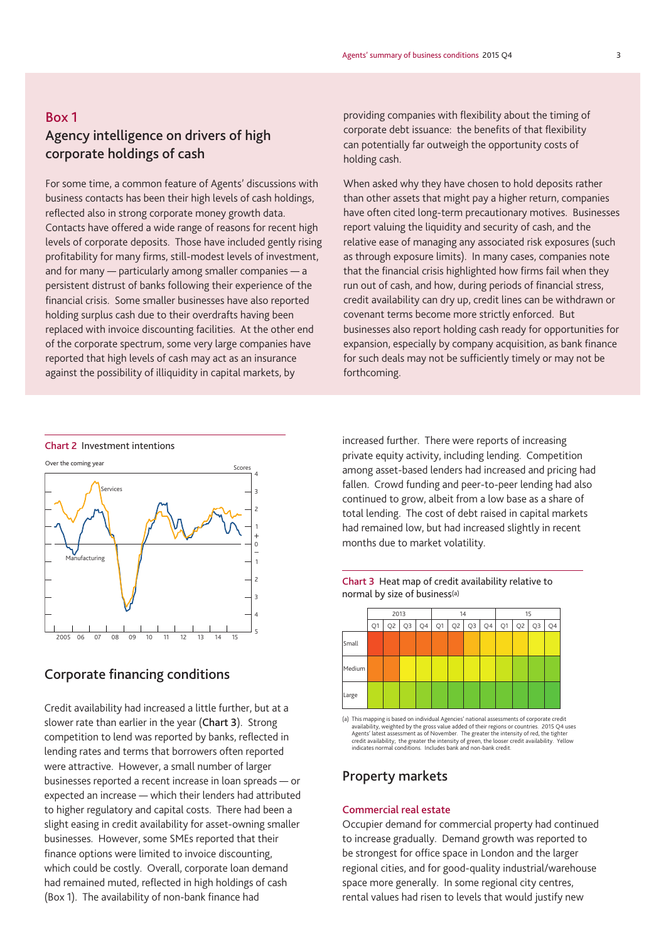### **Box 1**

## **Agency intelligence on drivers of high corporate holdings of cash**

For some time, a common feature of Agents' discussions with business contacts has been their high levels of cash holdings, reflected also in strong corporate money growth data. Contacts have offered a wide range of reasons for recent high levels of corporate deposits. Those have included gently rising profitability for many firms, still-modest levels of investment, and for many — particularly among smaller companies — a persistent distrust of banks following their experience of the financial crisis. Some smaller businesses have also reported holding surplus cash due to their overdrafts having been replaced with invoice discounting facilities. At the other end of the corporate spectrum, some very large companies have reported that high levels of cash may act as an insurance against the possibility of illiquidity in capital markets, by

providing companies with flexibility about the timing of corporate debt issuance: the benefits of that flexibility can potentially far outweigh the opportunity costs of holding cash.

When asked why they have chosen to hold deposits rather than other assets that might pay a higher return, companies have often cited long-term precautionary motives. Businesses report valuing the liquidity and security of cash, and the relative ease of managing any associated risk exposures (such as through exposure limits). In many cases, companies note that the financial crisis highlighted how firms fail when they run out of cash, and how, during periods of financial stress, credit availability can dry up, credit lines can be withdrawn or covenant terms become more strictly enforced. But businesses also report holding cash ready for opportunities for expansion, especially by company acquisition, as bank finance for such deals may not be sufficiently timely or may not be forthcoming.

**Chart 2** Investment intentions



### **Corporate financing conditions**

Credit availability had increased a little further, but at a slower rate than earlier in the year (**Chart 3**). Strong competition to lend was reported by banks, reflected in lending rates and terms that borrowers often reported were attractive. However, a small number of larger businesses reported a recent increase in loan spreads — or expected an increase — which their lenders had attributed to higher regulatory and capital costs. There had been a slight easing in credit availability for asset-owning smaller businesses. However, some SMEs reported that their finance options were limited to invoice discounting, which could be costly. Overall, corporate loan demand had remained muted, reflected in high holdings of cash (Box 1). The availability of non-bank finance had

increased further. There were reports of increasing private equity activity, including lending. Competition among asset-based lenders had increased and pricing had fallen. Crowd funding and peer-to-peer lending had also continued to grow, albeit from a low base as a share of total lending. The cost of debt raised in capital markets had remained low, but had increased slightly in recent months due to market volatility.





(a) This mapping is based on individual Agencies' national assessments of corporate credit availability, weighted by the gross value added of their regions or countries. 2015 Q4 uses<br>Agents' latest assessment as of November. The greater the intensity of red, the tighter<br>credit availability; the greater the inten indicates normal conditions. Includes bank and non-bank credit.

### **Property markets**

#### **Commercial real estate**

Occupier demand for commercial property had continued to increase gradually. Demand growth was reported to be strongest for office space in London and the larger regional cities, and for good-quality industrial/warehouse space more generally. In some regional city centres, rental values had risen to levels that would justify new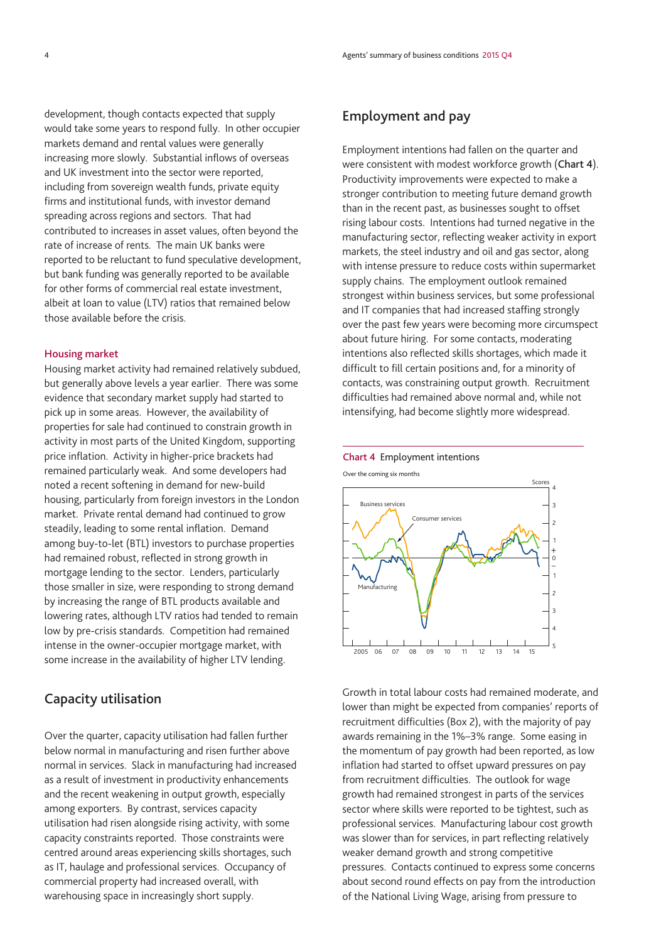development, though contacts expected that supply would take some years to respond fully. In other occupier markets demand and rental values were generally increasing more slowly. Substantial inflows of overseas and UK investment into the sector were reported, including from sovereign wealth funds, private equity firms and institutional funds, with investor demand spreading across regions and sectors. That had contributed to increases in asset values, often beyond the rate of increase of rents. The main UK banks were reported to be reluctant to fund speculative development, but bank funding was generally reported to be available for other forms of commercial real estate investment, albeit at loan to value (LTV) ratios that remained below those available before the crisis.

#### **Housing market**

Housing market activity had remained relatively subdued, but generally above levels a year earlier. There was some evidence that secondary market supply had started to pick up in some areas. However, the availability of properties for sale had continued to constrain growth in activity in most parts of the United Kingdom, supporting price inflation. Activity in higher-price brackets had remained particularly weak. And some developers had noted a recent softening in demand for new-build housing, particularly from foreign investors in the London market. Private rental demand had continued to grow steadily, leading to some rental inflation. Demand among buy-to-let (BTL) investors to purchase properties had remained robust, reflected in strong growth in mortgage lending to the sector. Lenders, particularly those smaller in size, were responding to strong demand by increasing the range of BTL products available and lowering rates, although LTV ratios had tended to remain low by pre-crisis standards. Competition had remained intense in the owner-occupier mortgage market, with some increase in the availability of higher LTV lending.

### **Capacity utilisation**

Over the quarter, capacity utilisation had fallen further below normal in manufacturing and risen further above normal in services. Slack in manufacturing had increased as a result of investment in productivity enhancements and the recent weakening in output growth, especially among exporters. By contrast, services capacity utilisation had risen alongside rising activity, with some capacity constraints reported. Those constraints were centred around areas experiencing skills shortages, such as IT, haulage and professional services. Occupancy of commercial property had increased overall, with warehousing space in increasingly short supply.

### **Employment and pay**

Employment intentions had fallen on the quarter and were consistent with modest workforce growth (**Chart 4**). Productivity improvements were expected to make a stronger contribution to meeting future demand growth than in the recent past, as businesses sought to offset rising labour costs. Intentions had turned negative in the manufacturing sector, reflecting weaker activity in export markets, the steel industry and oil and gas sector, along with intense pressure to reduce costs within supermarket supply chains. The employment outlook remained strongest within business services, but some professional and IT companies that had increased staffing strongly over the past few years were becoming more circumspect about future hiring. For some contacts, moderating intentions also reflected skills shortages, which made it difficult to fill certain positions and, for a minority of contacts, was constraining output growth. Recruitment difficulties had remained above normal and, while not intensifying, had become slightly more widespread.



### Growth in total labour costs had remained moderate, and lower than might be expected from companies' reports of recruitment difficulties (Box 2), with the majority of pay awards remaining in the 1%–3% range. Some easing in the momentum of pay growth had been reported, as low inflation had started to offset upward pressures on pay from recruitment difficulties. The outlook for wage growth had remained strongest in parts of the services sector where skills were reported to be tightest, such as professional services. Manufacturing labour cost growth was slower than for services, in part reflecting relatively weaker demand growth and strong competitive pressures. Contacts continued to express some concerns about second round effects on pay from the introduction of the National Living Wage, arising from pressure to

### **Chart 4** Employment intentions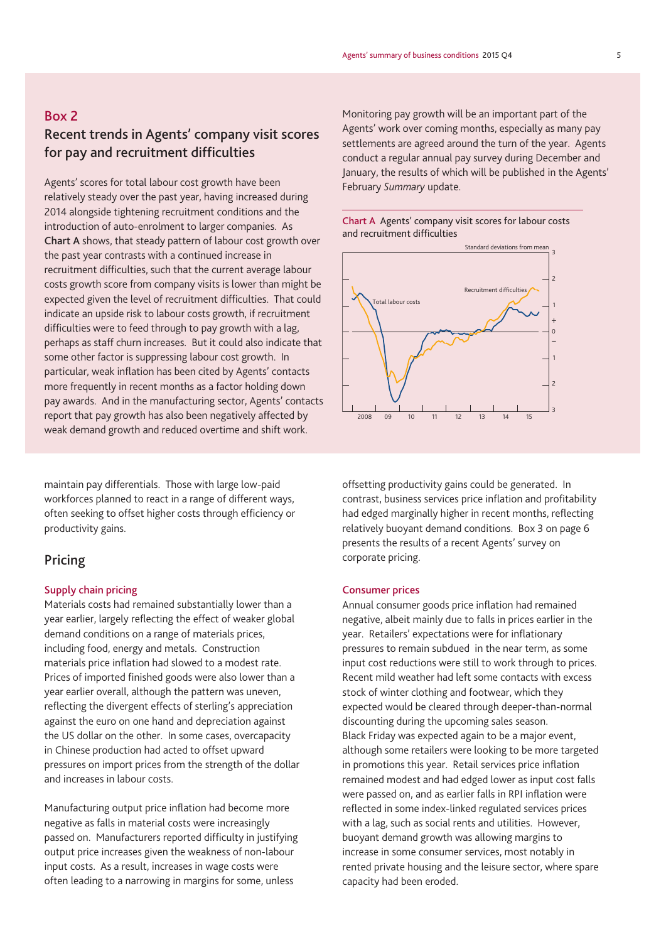### **Box 2**

### **Recent trends in Agents' company visit scores for pay and recruitment difficulties**

Agents' scores for total labour cost growth have been relatively steady over the past year, having increased during 2014 alongside tightening recruitment conditions and the introduction of auto-enrolment to larger companies. As **Chart A** shows, that steady pattern of labour cost growth over the past year contrasts with a continued increase in recruitment difficulties, such that the current average labour costs growth score from company visits is lower than might be expected given the level of recruitment difficulties. That could indicate an upside risk to labour costs growth, if recruitment difficulties were to feed through to pay growth with a lag, perhaps as staff churn increases. But it could also indicate that some other factor is suppressing labour cost growth. In particular, weak inflation has been cited by Agents' contacts more frequently in recent months as a factor holding down pay awards. And in the manufacturing sector, Agents' contacts report that pay growth has also been negatively affected by weak demand growth and reduced overtime and shift work.

maintain pay differentials. Those with large low-paid workforces planned to react in a range of different ways, often seeking to offset higher costs through efficiency or productivity gains.

### **Pricing**

### **Supply chain pricing**

Materials costs had remained substantially lower than a year earlier, largely reflecting the effect of weaker global demand conditions on a range of materials prices, including food, energy and metals. Construction materials price inflation had slowed to a modest rate. Prices of imported finished goods were also lower than a year earlier overall, although the pattern was uneven, reflecting the divergent effects of sterling's appreciation against the euro on one hand and depreciation against the US dollar on the other. In some cases, overcapacity in Chinese production had acted to offset upward pressures on import prices from the strength of the dollar and increases in labour costs.

Manufacturing output price inflation had become more negative as falls in material costs were increasingly passed on. Manufacturers reported difficulty in justifying output price increases given the weakness of non-labour input costs. As a result, increases in wage costs were often leading to a narrowing in margins for some, unless

Monitoring pay growth will be an important part of the Agents' work over coming months, especially as many pay settlements are agreed around the turn of the year. Agents conduct a regular annual pay survey during December and January, the results of which will be published in the Agents' February *Summary* update.





offsetting productivity gains could be generated. In contrast, business services price inflation and profitability had edged marginally higher in recent months, reflecting relatively buoyant demand conditions. Box 3 on page 6 presents the results of a recent Agents' survey on corporate pricing.

#### **Consumer prices**

Annual consumer goods price inflation had remained negative, albeit mainly due to falls in prices earlier in the year. Retailers' expectations were for inflationary pressures to remain subdued in the near term, as some input cost reductions were still to work through to prices. Recent mild weather had left some contacts with excess stock of winter clothing and footwear, which they expected would be cleared through deeper-than-normal discounting during the upcoming sales season. Black Friday was expected again to be a major event, although some retailers were looking to be more targeted in promotions this year. Retail services price inflation remained modest and had edged lower as input cost falls were passed on, and as earlier falls in RPI inflation were reflected in some index-linked regulated services prices with a lag, such as social rents and utilities. However, buoyant demand growth was allowing margins to increase in some consumer services, most notably in rented private housing and the leisure sector, where spare capacity had been eroded.